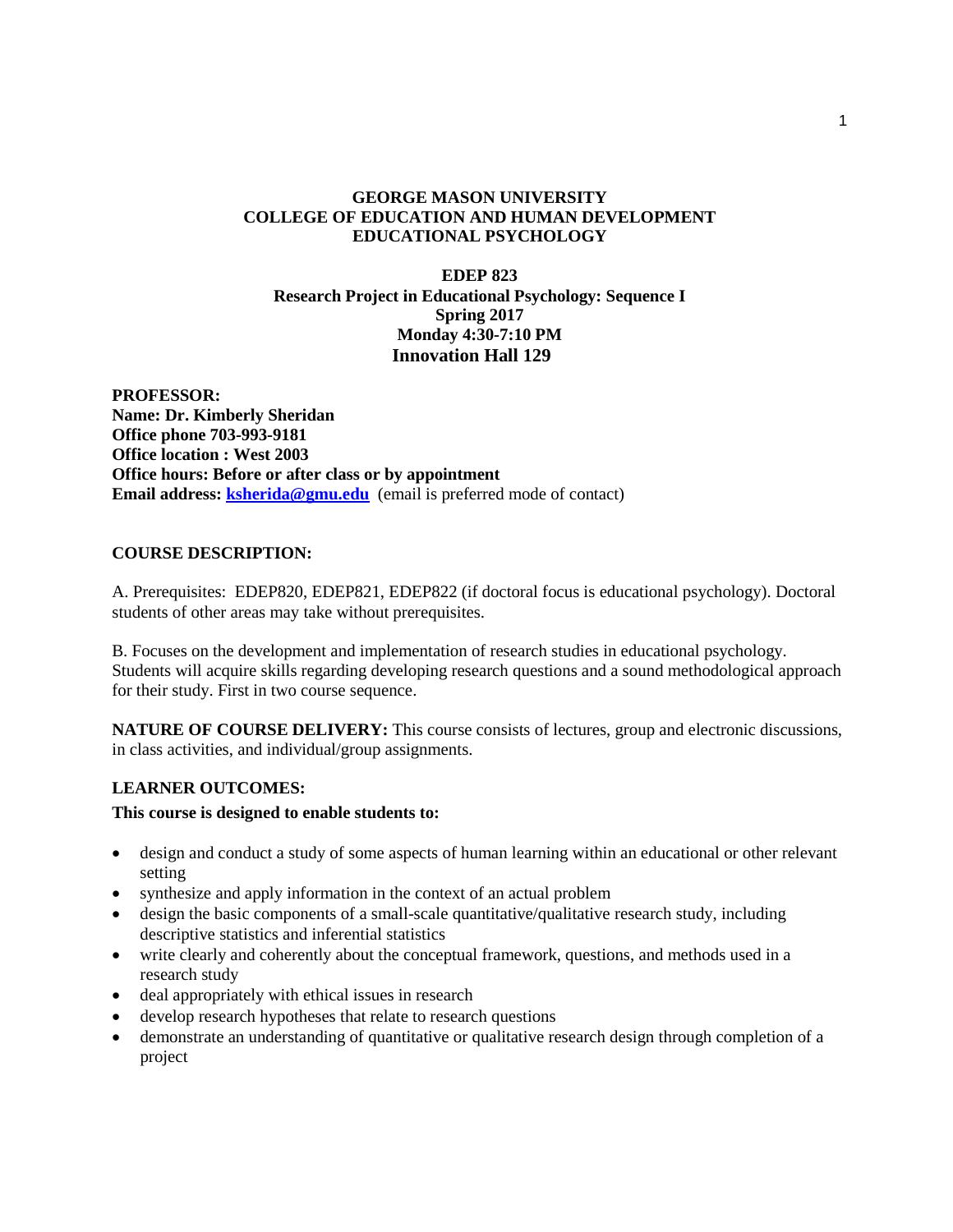## **GEORGE MASON UNIVERSITY COLLEGE OF EDUCATION AND HUMAN DEVELOPMENT EDUCATIONAL PSYCHOLOGY**

## **EDEP 823 Research Project in Educational Psychology: Sequence I Spring 2017 Monday 4:30-7:10 PM Innovation Hall 129**

**PROFESSOR: Name: Dr. Kimberly Sheridan Office phone 703-993-9181 Office location : West 2003 Office hours: Before or after class or by appointment Email address: ksherida@gmu.edu** (email is preferred mode of contact)

## **COURSE DESCRIPTION:**

A. Prerequisites: EDEP820, EDEP821, EDEP822 (if doctoral focus is educational psychology). Doctoral students of other areas may take without prerequisites.

B. Focuses on the development and implementation of research studies in educational psychology. Students will acquire skills regarding developing research questions and a sound methodological approach for their study. First in two course sequence.

**NATURE OF COURSE DELIVERY:** This course consists of lectures, group and electronic discussions, in class activities, and individual/group assignments.

## **LEARNER OUTCOMES:**

## **This course is designed to enable students to:**

- design and conduct a study of some aspects of human learning within an educational or other relevant setting
- synthesize and apply information in the context of an actual problem
- design the basic components of a small-scale quantitative/qualitative research study, including descriptive statistics and inferential statistics
- write clearly and coherently about the conceptual framework, questions, and methods used in a research study
- deal appropriately with ethical issues in research
- develop research hypotheses that relate to research questions
- demonstrate an understanding of quantitative or qualitative research design through completion of a project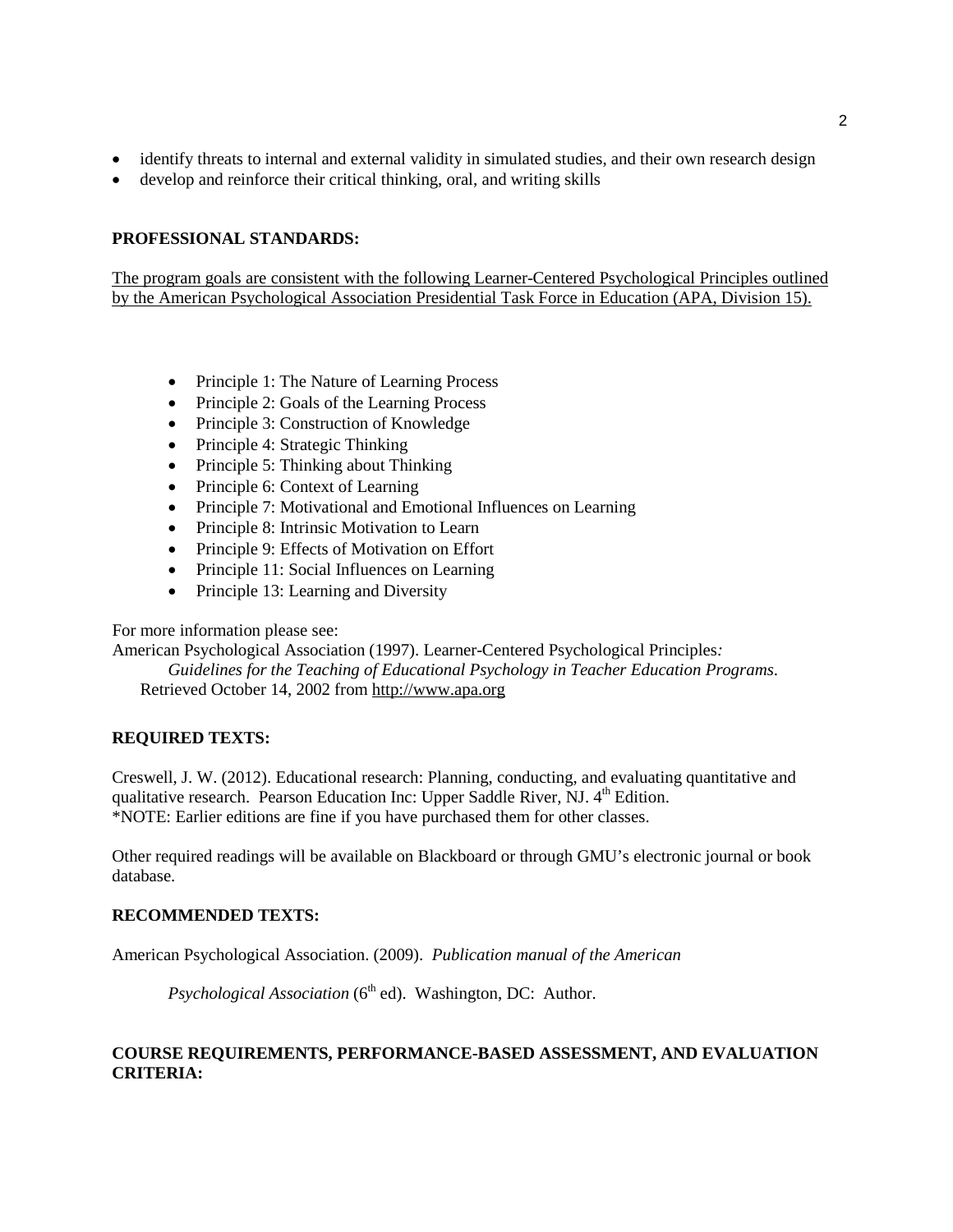- identify threats to internal and external validity in simulated studies, and their own research design
- develop and reinforce their critical thinking, oral, and writing skills

# **PROFESSIONAL STANDARDS:**

The program goals are consistent with the following Learner-Centered Psychological Principles outlined by the American Psychological Association Presidential Task Force in Education (APA, Division 15).

- Principle 1: The Nature of Learning Process
- Principle 2: Goals of the Learning Process
- Principle 3: Construction of Knowledge
- Principle 4: Strategic Thinking
- Principle 5: Thinking about Thinking
- Principle 6: Context of Learning
- Principle 7: Motivational and Emotional Influences on Learning
- Principle 8: Intrinsic Motivation to Learn
- Principle 9: Effects of Motivation on Effort
- Principle 11: Social Influences on Learning
- Principle 13: Learning and Diversity

For more information please see:

American Psychological Association (1997). Learner-Centered Psychological Principles*:* 

*Guidelines for the Teaching of Educational Psychology in Teacher Education Programs*. Retrieved October 14, 2002 from [http://www.apa.org](http://www.apa.org/)

## **REQUIRED TEXTS:**

Creswell, J. W. (2012). Educational research: Planning, conducting, and evaluating quantitative and qualitative research. Pearson Education Inc: Upper Saddle River, NJ.  $4<sup>th</sup>$  Edition. \*NOTE: Earlier editions are fine if you have purchased them for other classes.

Other required readings will be available on Blackboard or through GMU's electronic journal or book database.

## **RECOMMENDED TEXTS:**

American Psychological Association. (2009). *Publication manual of the American* 

*Psychological Association* (6<sup>th</sup> ed). Washington, DC: Author.

## **COURSE REQUIREMENTS, PERFORMANCE-BASED ASSESSMENT, AND EVALUATION CRITERIA:**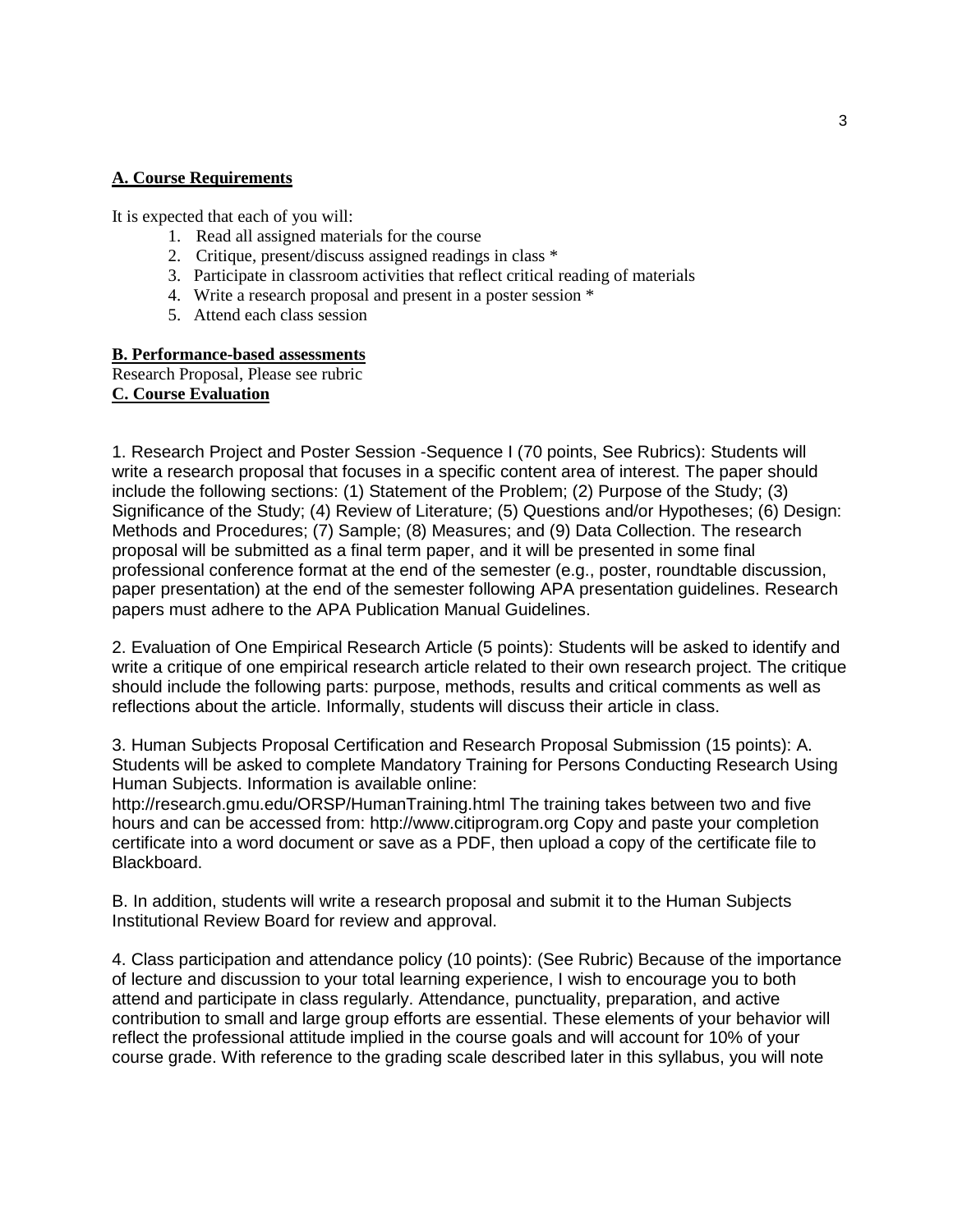#### **A. Course Requirements**

It is expected that each of you will:

- 1. Read all assigned materials for the course
- 2. Critique, present/discuss assigned readings in class \*
- 3. Participate in classroom activities that reflect critical reading of materials
- 4. Write a research proposal and present in a poster session \*
- 5. Attend each class session

#### **B. Performance-based assessments**

Research Proposal, Please see rubric **C. Course Evaluation**

1. Research Project and Poster Session -Sequence I (70 points, See Rubrics): Students will write a research proposal that focuses in a specific content area of interest. The paper should include the following sections: (1) Statement of the Problem; (2) Purpose of the Study; (3) Significance of the Study; (4) Review of Literature; (5) Questions and/or Hypotheses; (6) Design: Methods and Procedures; (7) Sample; (8) Measures; and (9) Data Collection. The research proposal will be submitted as a final term paper, and it will be presented in some final professional conference format at the end of the semester (e.g., poster, roundtable discussion, paper presentation) at the end of the semester following APA presentation guidelines. Research papers must adhere to the APA Publication Manual Guidelines.

2. Evaluation of One Empirical Research Article (5 points): Students will be asked to identify and write a critique of one empirical research article related to their own research project. The critique should include the following parts: purpose, methods, results and critical comments as well as reflections about the article. Informally, students will discuss their article in class.

3. Human Subjects Proposal Certification and Research Proposal Submission (15 points): A. Students will be asked to complete Mandatory Training for Persons Conducting Research Using Human Subjects. Information is available online:

http://research.gmu.edu/ORSP/HumanTraining.html The training takes between two and five hours and can be accessed from: http://www.citiprogram.org Copy and paste your completion certificate into a word document or save as a PDF, then upload a copy of the certificate file to Blackboard.

B. In addition, students will write a research proposal and submit it to the Human Subjects Institutional Review Board for review and approval.

4. Class participation and attendance policy (10 points): (See Rubric) Because of the importance of lecture and discussion to your total learning experience, I wish to encourage you to both attend and participate in class regularly. Attendance, punctuality, preparation, and active contribution to small and large group efforts are essential. These elements of your behavior will reflect the professional attitude implied in the course goals and will account for 10% of your course grade. With reference to the grading scale described later in this syllabus, you will note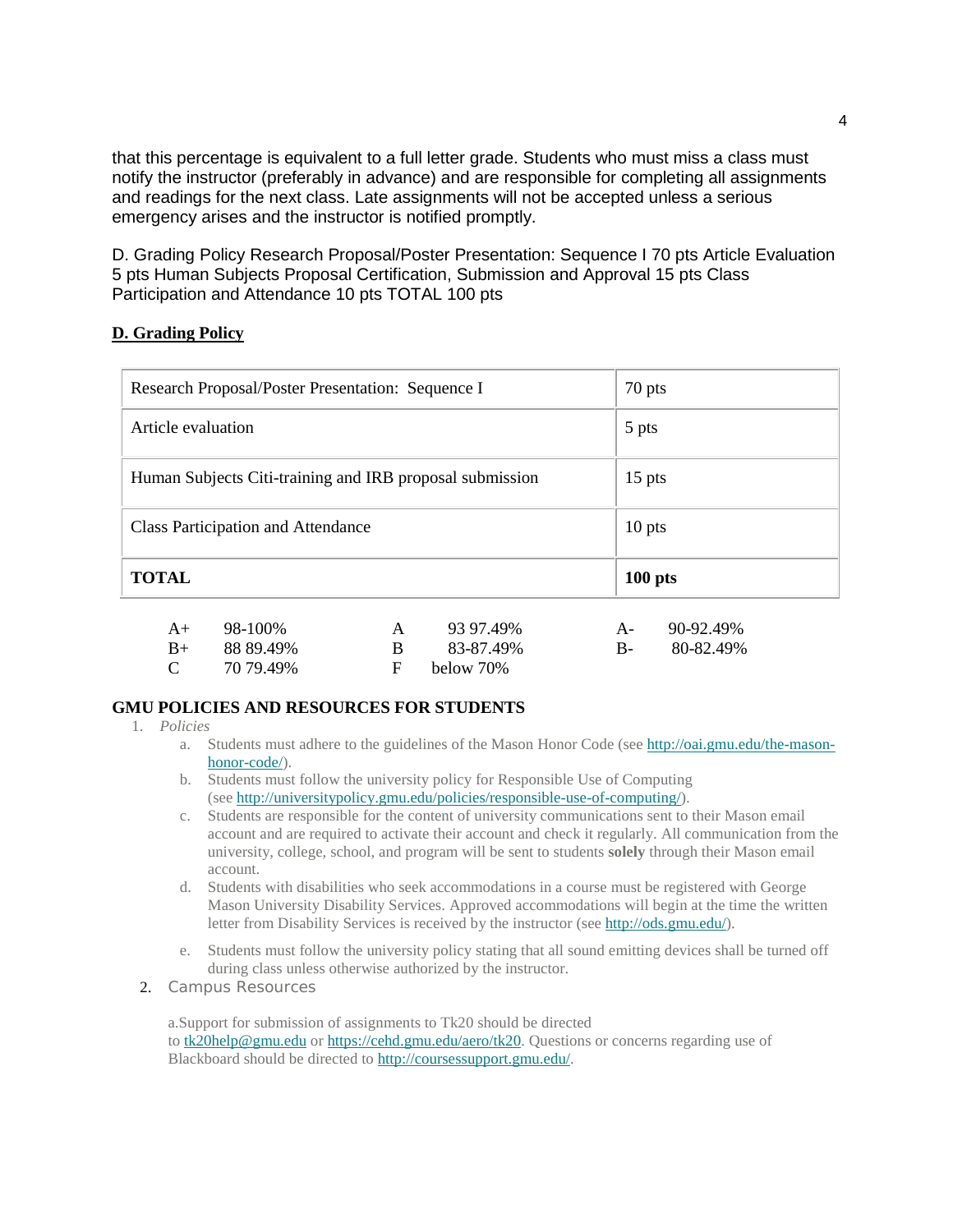that this percentage is equivalent to a full letter grade. Students who must miss a class must notify the instructor (preferably in advance) and are responsible for completing all assignments and readings for the next class. Late assignments will not be accepted unless a serious emergency arises and the instructor is notified promptly.

D. Grading Policy Research Proposal/Poster Presentation: Sequence I 70 pts Article Evaluation 5 pts Human Subjects Proposal Certification, Submission and Approval 15 pts Class Participation and Attendance 10 pts TOTAL 100 pts

# **D. Grading Policy**

| Research Proposal/Poster Presentation: Sequence I        | 70 pts    |
|----------------------------------------------------------|-----------|
| Article evaluation                                       | 5 pts     |
| Human Subjects Citi-training and IRB proposal submission | $15$ pts  |
| <b>Class Participation and Attendance</b>                | $10$ pts  |
| <b>TOTAL</b>                                             | $100$ pts |

| $A+$          | 98-100%   | A 93 97.49%  | A- 90-92.49% |
|---------------|-----------|--------------|--------------|
| $B+$          | 88 89.49% | 83-87.49%    | B- 80-82.49% |
| $\mathcal{C}$ | 70 79.49% | F below 70\% |              |

## **GMU POLICIES AND RESOURCES FOR STUDENTS**

- 1. *Policies*
	- a. Students must adhere to the guidelines of the Mason Honor Code (see [http://oai.gmu.edu/the-mason](http://oai.gmu.edu/the-mason-honor-code/)[honor-code/\)](http://oai.gmu.edu/the-mason-honor-code/).
	- b. Students must follow the university policy for Responsible Use of Computing (see [http://universitypolicy.gmu.edu/policies/responsible-use-of-computing/\)](http://universitypolicy.gmu.edu/policies/responsible-use-of-computing/).
	- c. Students are responsible for the content of university communications sent to their Mason email account and are required to activate their account and check it regularly. All communication from the university, college, school, and program will be sent to students **solely** through their Mason email account.
	- d. Students with disabilities who seek accommodations in a course must be registered with George Mason University Disability Services. Approved accommodations will begin at the time the written letter from Disability Services is received by the instructor (see [http://ods.gmu.edu/\)](http://ods.gmu.edu/).
	- e. Students must follow the university policy stating that all sound emitting devices shall be turned off during class unless otherwise authorized by the instructor.
	- 2. *Campus Resources*

a.Support for submission of assignments to Tk20 should be directed to [tk20help@gmu.edu](mailto:tk20help@gmu.edu) or [https://cehd.gmu.edu/aero/tk20.](https://cehd.gmu.edu/aero/tk20/) Questions or concerns regarding use of Blackboard should be directed to [http://coursessupport.gmu.edu/.](http://coursessupport.gmu.edu/)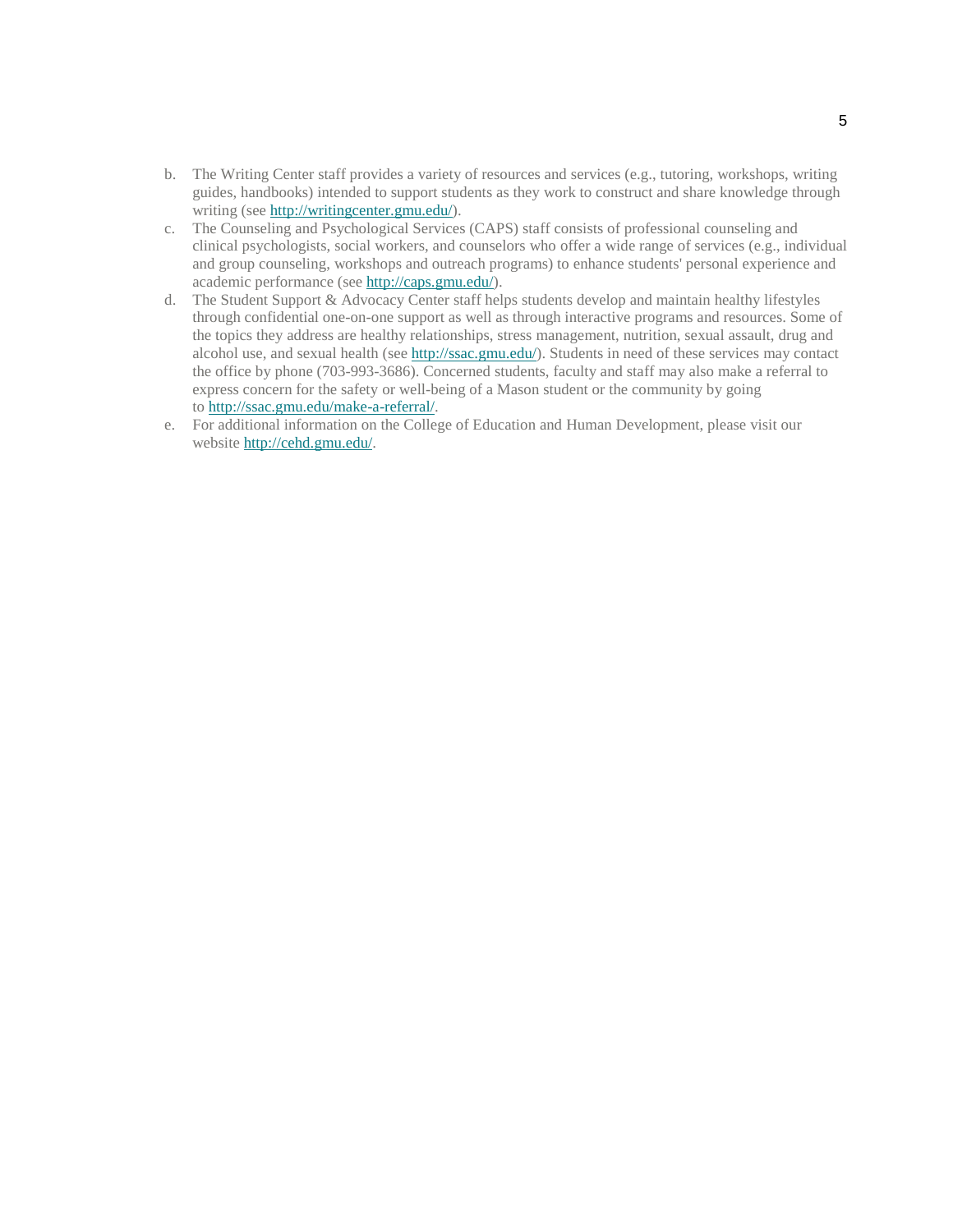- b. The Writing Center staff provides a variety of resources and services (e.g., tutoring, workshops, writing guides, handbooks) intended to support students as they work to construct and share knowledge through writing (see [http://writingcenter.gmu.edu/\)](http://writingcenter.gmu.edu/).
- c. The Counseling and Psychological Services (CAPS) staff consists of professional counseling and clinical psychologists, social workers, and counselors who offer a wide range of services (e.g., individual and group counseling, workshops and outreach programs) to enhance students' personal experience and academic performance (see [http://caps.gmu.edu/\)](http://caps.gmu.edu/).
- d. The Student Support & Advocacy Center staff helps students develop and maintain healthy lifestyles through confidential one-on-one support as well as through interactive programs and resources. Some of the topics they address are healthy relationships, stress management, nutrition, sexual assault, drug and alcohol use, and sexual health (see [http://ssac.gmu.edu/\)](http://ssac.gmu.edu/). Students in need of these services may contact the office by phone (703-993-3686). Concerned students, faculty and staff may also make a referral to express concern for the safety or well-being of a Mason student or the community by going to [http://ssac.gmu.edu/make-a-referral/.](http://ssac.gmu.edu/make-a-referral/)
- e. For additional information on the College of Education and Human Development, please visit our website [http://cehd.gmu.edu/.](https://cehd.gmu.edu/)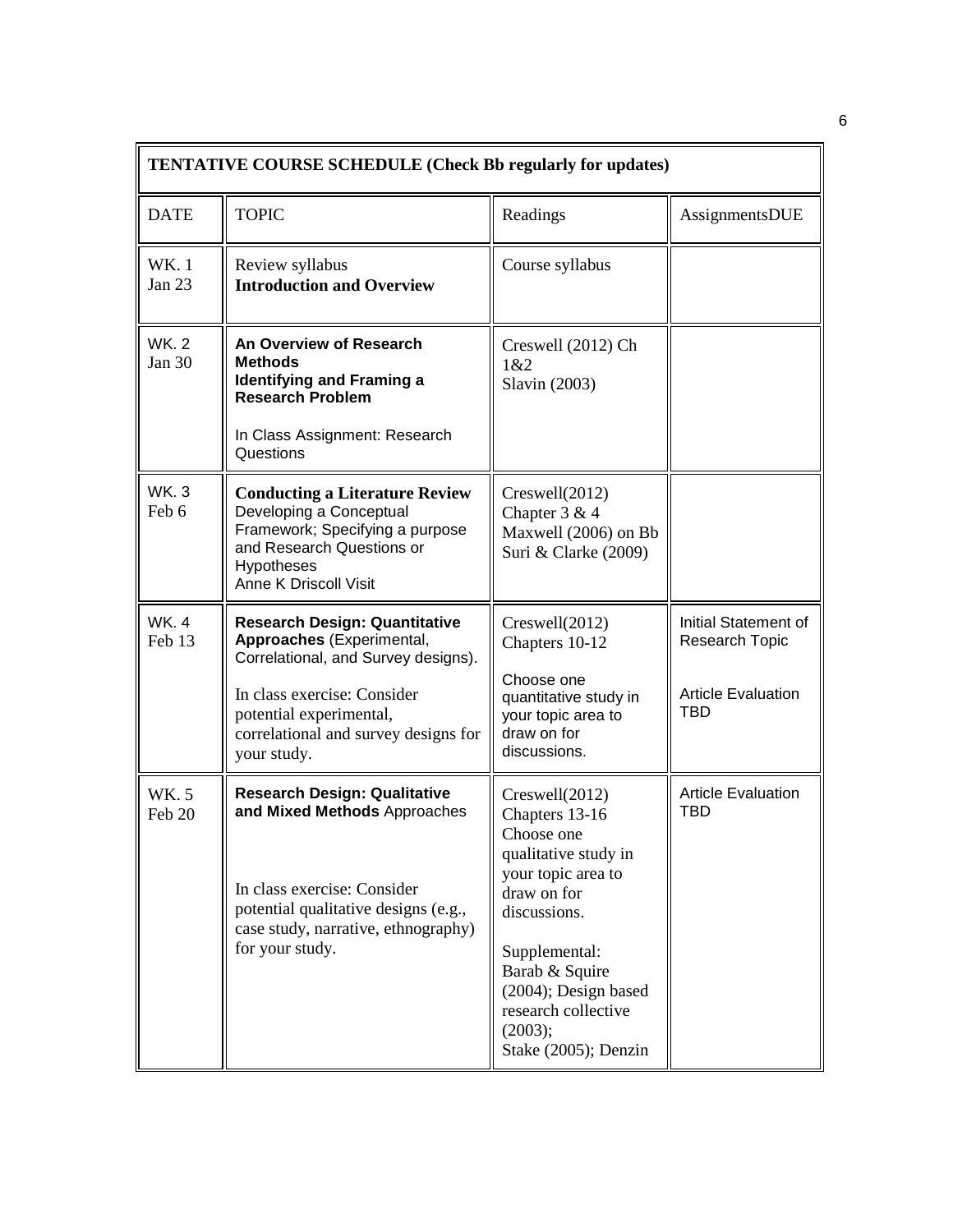| <b>TENTATIVE COURSE SCHEDULE (Check Bb regularly for updates)</b> |                                                                                                                                                                                                                           |                                                                                                                                                                                                                                                  |                                                                                          |  |  |
|-------------------------------------------------------------------|---------------------------------------------------------------------------------------------------------------------------------------------------------------------------------------------------------------------------|--------------------------------------------------------------------------------------------------------------------------------------------------------------------------------------------------------------------------------------------------|------------------------------------------------------------------------------------------|--|--|
| <b>DATE</b>                                                       | <b>TOPIC</b>                                                                                                                                                                                                              | Readings                                                                                                                                                                                                                                         | AssignmentsDUE                                                                           |  |  |
| WK. 1<br><b>Jan 23</b>                                            | Review syllabus<br><b>Introduction and Overview</b>                                                                                                                                                                       | Course syllabus                                                                                                                                                                                                                                  |                                                                                          |  |  |
| <b>WK.2</b><br><b>Jan 30</b>                                      | An Overview of Research<br><b>Methods</b><br><b>Identifying and Framing a</b><br><b>Research Problem</b><br>In Class Assignment: Research<br>Questions                                                                    | Creswell (2012) Ch<br>1&2<br>Slavin (2003)                                                                                                                                                                                                       |                                                                                          |  |  |
| <b>WK.3</b><br>Feb 6                                              | <b>Conducting a Literature Review</b><br>Developing a Conceptual<br>Framework; Specifying a purpose<br>and Research Questions or<br><b>Hypotheses</b><br><b>Anne K Driscoll Visit</b>                                     | $C$ reswell $(2012)$<br>Chapter 3 & 4<br>Maxwell (2006) on Bb<br>Suri & Clarke (2009)                                                                                                                                                            |                                                                                          |  |  |
| WK. 4<br>Feb 13                                                   | <b>Research Design: Quantitative</b><br>Approaches (Experimental,<br>Correlational, and Survey designs).<br>In class exercise: Consider<br>potential experimental,<br>correlational and survey designs for<br>your study. | $C$ reswell $(2012)$<br>Chapters 10-12<br>Choose one<br>quantitative study in<br>your topic area to<br>draw on for<br>discussions.                                                                                                               | Initial Statement of<br><b>Research Topic</b><br><b>Article Evaluation</b><br><b>TBD</b> |  |  |
| <b>WK.5</b><br>Feb 20                                             | <b>Research Design: Qualitative</b><br>and Mixed Methods Approaches<br>In class exercise: Consider<br>potential qualitative designs (e.g.,<br>case study, narrative, ethnography)<br>for your study.                      | Creswell(2012)<br>Chapters 13-16<br>Choose one<br>qualitative study in<br>your topic area to<br>draw on for<br>discussions.<br>Supplemental:<br>Barab & Squire<br>(2004); Design based<br>research collective<br>(2003);<br>Stake (2005); Denzin | <b>Article Evaluation</b><br>TBD                                                         |  |  |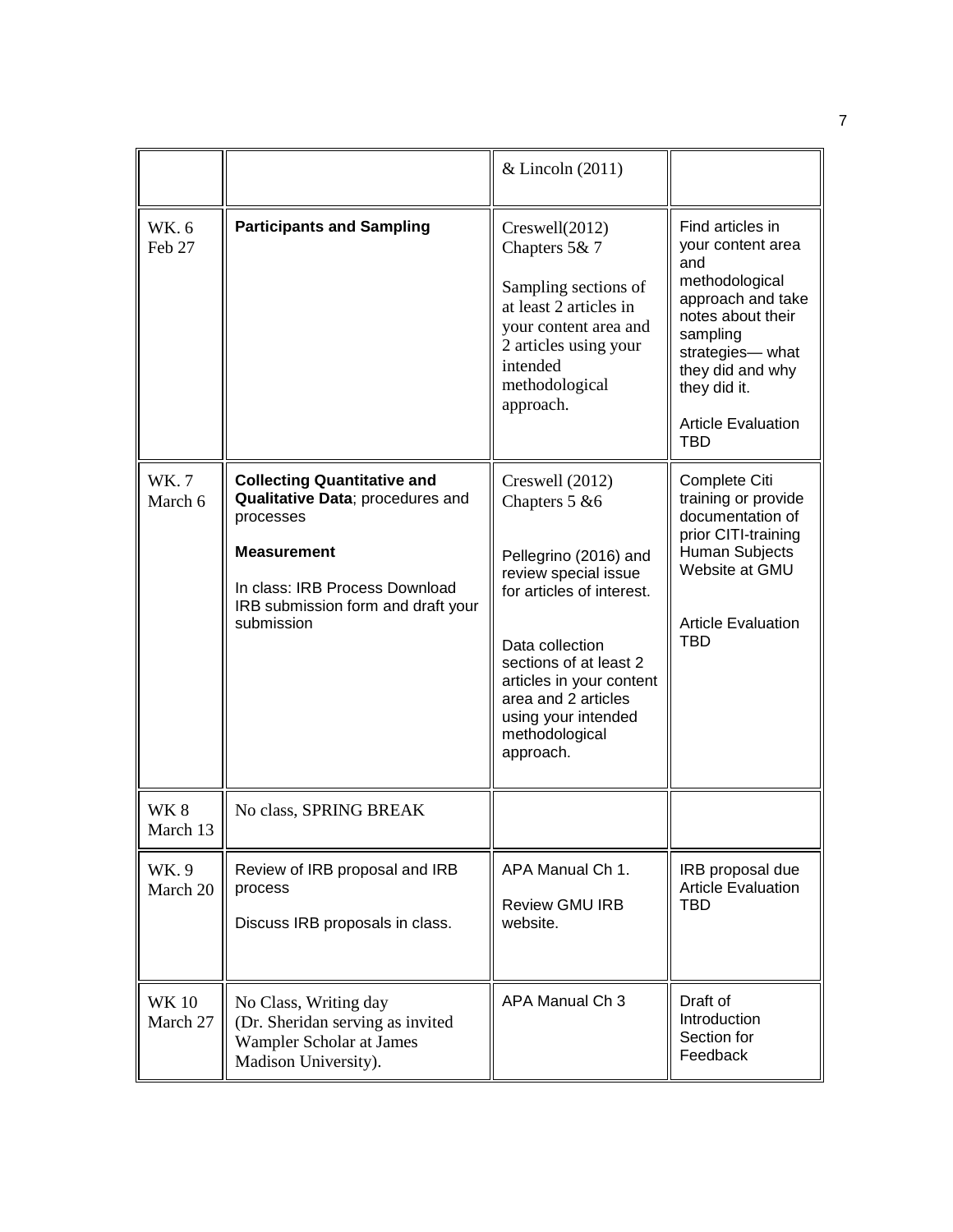|                         |                                                                                                                                                                                                 | & Lincoln (2011)                                                                                                                                                                                                                                                      |                                                                                                                                                                                                                        |
|-------------------------|-------------------------------------------------------------------------------------------------------------------------------------------------------------------------------------------------|-----------------------------------------------------------------------------------------------------------------------------------------------------------------------------------------------------------------------------------------------------------------------|------------------------------------------------------------------------------------------------------------------------------------------------------------------------------------------------------------------------|
| WK. 6<br>Feb 27         | <b>Participants and Sampling</b>                                                                                                                                                                | $C$ reswell $(2012)$<br>Chapters 5& 7<br>Sampling sections of<br>at least 2 articles in<br>your content area and<br>2 articles using your<br>intended<br>methodological<br>approach.                                                                                  | Find articles in<br>your content area<br>and<br>methodological<br>approach and take<br>notes about their<br>sampling<br>strategies-what<br>they did and why<br>they did it.<br><b>Article Evaluation</b><br><b>TBD</b> |
| <b>WK.7</b><br>March 6  | <b>Collecting Quantitative and</b><br>Qualitative Data; procedures and<br>processes<br><b>Measurement</b><br>In class: IRB Process Download<br>IRB submission form and draft your<br>submission | Creswell (2012)<br>Chapters 5 & 6<br>Pellegrino (2016) and<br>review special issue<br>for articles of interest.<br>Data collection<br>sections of at least 2<br>articles in your content<br>area and 2 articles<br>using your intended<br>methodological<br>approach. | Complete Citi<br>training or provide<br>documentation of<br>prior CITI-training<br>Human Subjects<br>Website at GMU<br><b>Article Evaluation</b><br><b>TBD</b>                                                         |
| WK 8<br>March 13        | No class, SPRING BREAK                                                                                                                                                                          |                                                                                                                                                                                                                                                                       |                                                                                                                                                                                                                        |
| WK.9<br>March 20        | Review of IRB proposal and IRB<br>process<br>Discuss IRB proposals in class.                                                                                                                    | APA Manual Ch 1.<br><b>Review GMU IRB</b><br>website.                                                                                                                                                                                                                 | IRB proposal due<br><b>Article Evaluation</b><br>TBD                                                                                                                                                                   |
| <b>WK10</b><br>March 27 | No Class, Writing day<br>(Dr. Sheridan serving as invited<br>Wampler Scholar at James<br>Madison University).                                                                                   | APA Manual Ch 3                                                                                                                                                                                                                                                       | Draft of<br>Introduction<br>Section for<br>Feedback                                                                                                                                                                    |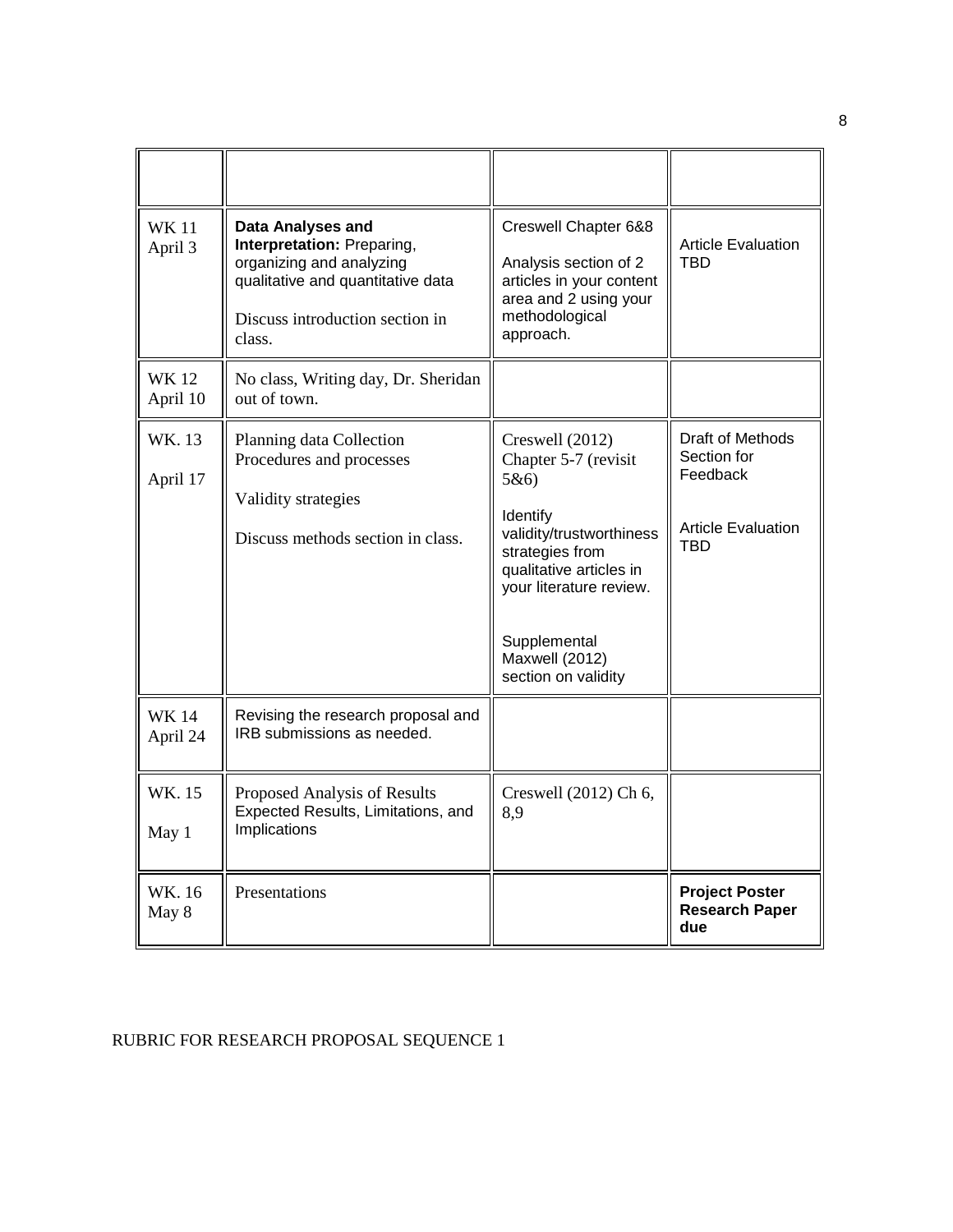| <b>WK11</b><br>April 3  | <b>Data Analyses and</b><br>Interpretation: Preparing,<br>organizing and analyzing<br>qualitative and quantitative data<br>Discuss introduction section in<br>class. | Creswell Chapter 6&8<br>Analysis section of 2<br>articles in your content<br>area and 2 using your<br>methodological<br>approach.                                                                                        | <b>Article Evaluation</b><br>TBD                                                |
|-------------------------|----------------------------------------------------------------------------------------------------------------------------------------------------------------------|--------------------------------------------------------------------------------------------------------------------------------------------------------------------------------------------------------------------------|---------------------------------------------------------------------------------|
| <b>WK12</b><br>April 10 | No class, Writing day, Dr. Sheridan<br>out of town.                                                                                                                  |                                                                                                                                                                                                                          |                                                                                 |
| WK. 13<br>April 17      | Planning data Collection<br>Procedures and processes<br>Validity strategies<br>Discuss methods section in class.                                                     | Creswell (2012)<br>Chapter 5-7 (revisit<br>5&6<br>Identify<br>validity/trustworthiness<br>strategies from<br>qualitative articles in<br>your literature review.<br>Supplemental<br>Maxwell (2012)<br>section on validity | Draft of Methods<br>Section for<br>Feedback<br><b>Article Evaluation</b><br>TRD |
| <b>WK14</b><br>April 24 | Revising the research proposal and<br>IRB submissions as needed.                                                                                                     |                                                                                                                                                                                                                          |                                                                                 |
| WK. 15<br>May 1         | Proposed Analysis of Results<br>Expected Results, Limitations, and<br>Implications                                                                                   | Creswell (2012) Ch 6,<br>8.9                                                                                                                                                                                             |                                                                                 |
| WK. 16<br>May 8         | Presentations                                                                                                                                                        |                                                                                                                                                                                                                          | <b>Project Poster</b><br><b>Research Paper</b><br>due                           |

# RUBRIC FOR RESEARCH PROPOSAL SEQUENCE 1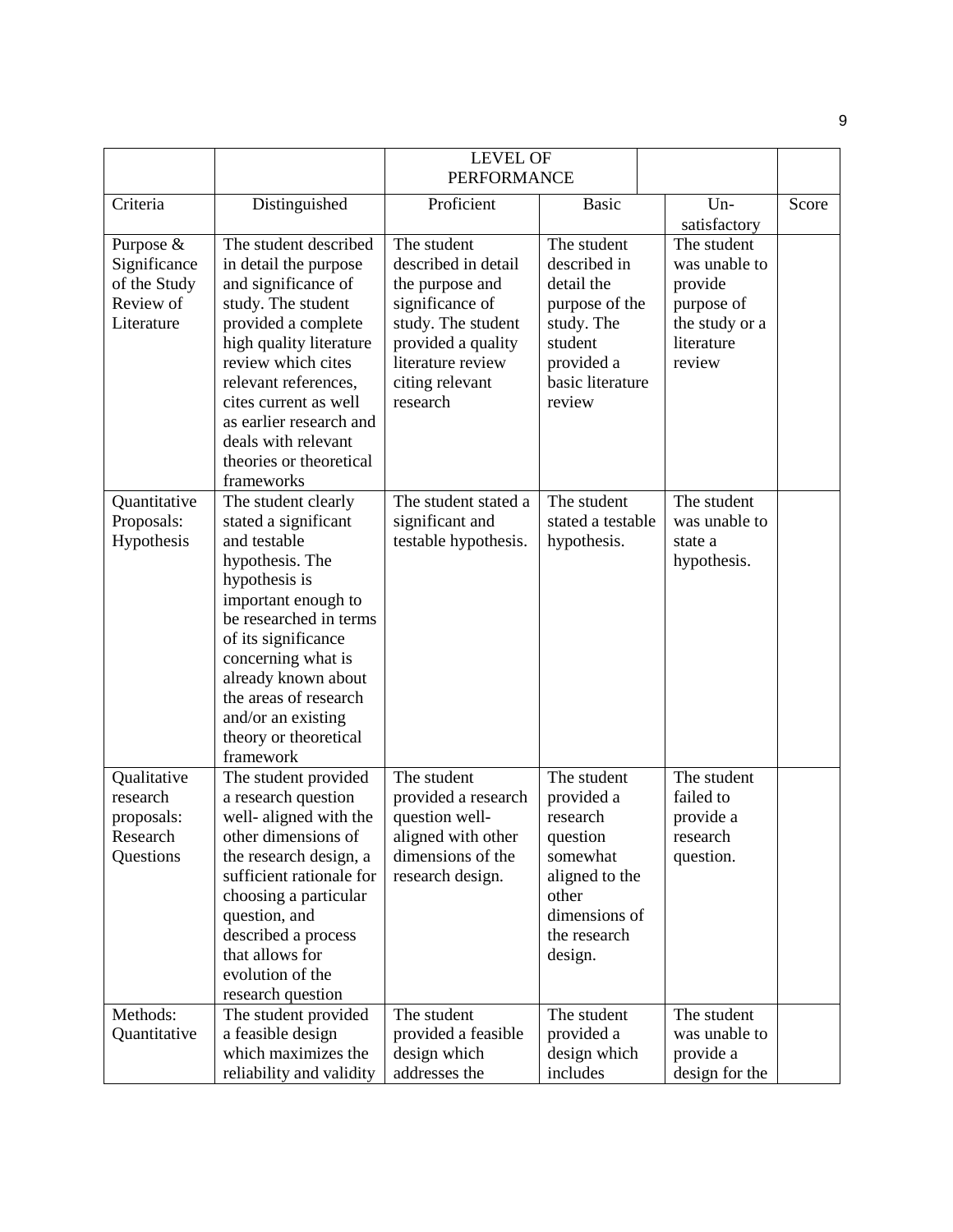|                                                                      |                                                                                                                                                                                                                                                                                                                 | <b>LEVEL OF</b><br><b>PERFORMANCE</b>                                                                                                                                    |                                                                                                                                      |                                                                                                 |       |
|----------------------------------------------------------------------|-----------------------------------------------------------------------------------------------------------------------------------------------------------------------------------------------------------------------------------------------------------------------------------------------------------------|--------------------------------------------------------------------------------------------------------------------------------------------------------------------------|--------------------------------------------------------------------------------------------------------------------------------------|-------------------------------------------------------------------------------------------------|-------|
| Criteria                                                             | Distinguished                                                                                                                                                                                                                                                                                                   | Proficient                                                                                                                                                               | <b>Basic</b>                                                                                                                         | $Un-$<br>satisfactory                                                                           | Score |
| Purpose &<br>Significance<br>of the Study<br>Review of<br>Literature | The student described<br>in detail the purpose<br>and significance of<br>study. The student<br>provided a complete<br>high quality literature<br>review which cites<br>relevant references,<br>cites current as well<br>as earlier research and<br>deals with relevant<br>theories or theoretical<br>frameworks | The student<br>described in detail<br>the purpose and<br>significance of<br>study. The student<br>provided a quality<br>literature review<br>citing relevant<br>research | The student<br>described in<br>detail the<br>purpose of the<br>study. The<br>student<br>provided a<br>basic literature<br>review     | The student<br>was unable to<br>provide<br>purpose of<br>the study or a<br>literature<br>review |       |
| Quantitative<br>Proposals:<br>Hypothesis                             | The student clearly<br>stated a significant<br>and testable<br>hypothesis. The<br>hypothesis is<br>important enough to<br>be researched in terms<br>of its significance<br>concerning what is<br>already known about<br>the areas of research<br>and/or an existing<br>theory or theoretical<br>framework       | The student stated a<br>significant and<br>testable hypothesis.                                                                                                          | The student<br>stated a testable<br>hypothesis.                                                                                      | The student<br>was unable to<br>state a<br>hypothesis.                                          |       |
| Qualitative<br>research<br>proposals:<br>Research<br>Questions       | The student provided<br>a research question<br>well-aligned with the<br>other dimensions of<br>the research design, a<br>sufficient rationale for<br>choosing a particular<br>question, and<br>described a process<br>that allows for<br>evolution of the<br>research question                                  | The student<br>provided a research<br>question well-<br>aligned with other<br>dimensions of the<br>research design.                                                      | The student<br>provided a<br>research<br>question<br>somewhat<br>aligned to the<br>other<br>dimensions of<br>the research<br>design. | The student<br>failed to<br>provide a<br>research<br>question.                                  |       |
| Methods:<br>Quantitative                                             | The student provided<br>a feasible design<br>which maximizes the<br>reliability and validity                                                                                                                                                                                                                    | The student<br>provided a feasible<br>design which<br>addresses the                                                                                                      | The student<br>provided a<br>design which<br>includes                                                                                | The student<br>was unable to<br>provide a<br>design for the                                     |       |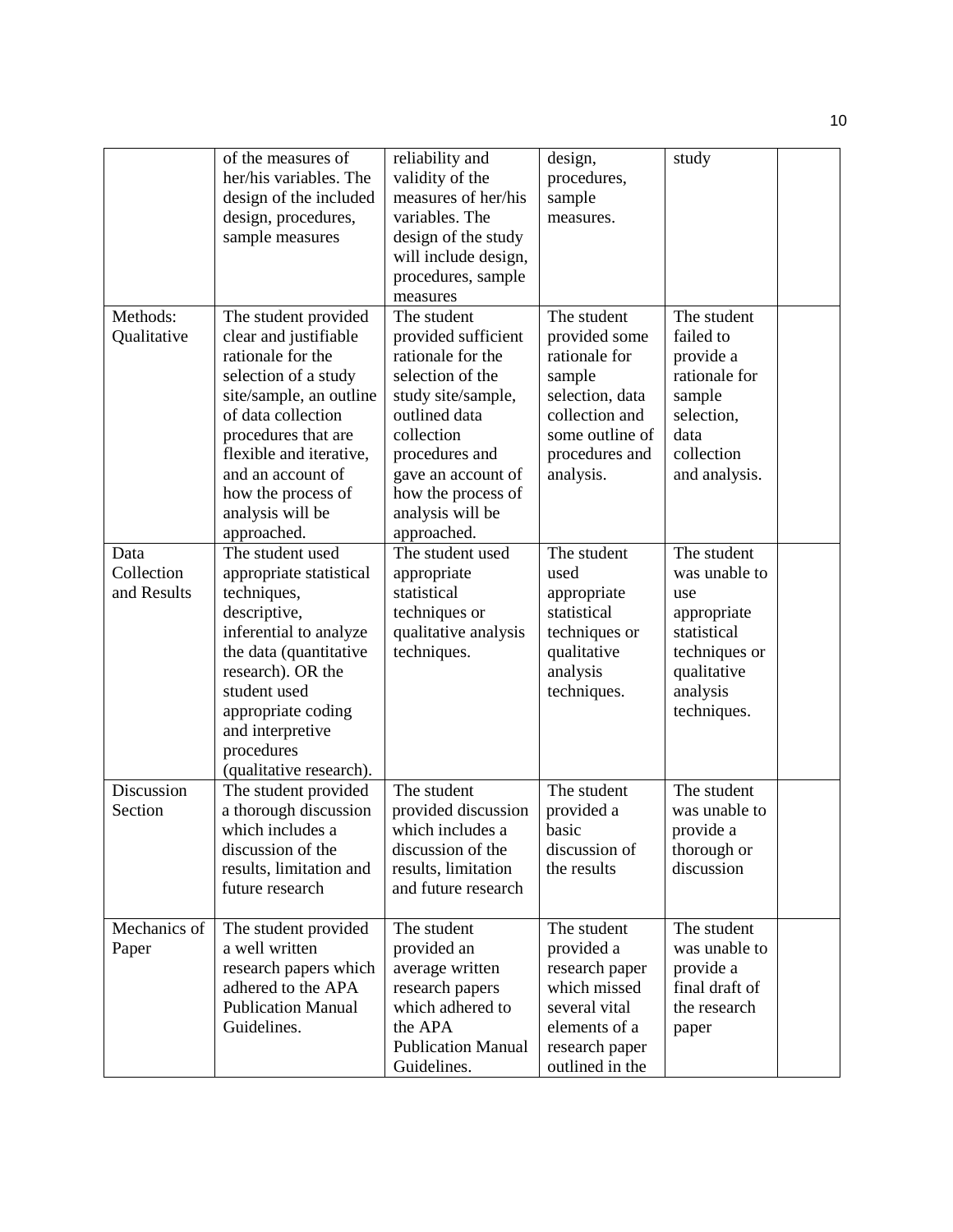|                                   | of the measures of<br>her/his variables. The<br>design of the included<br>design, procedures,<br>sample measures                                                                                                                                                            | reliability and<br>validity of the<br>measures of her/his<br>variables. The<br>design of the study<br>will include design,                                                                                                        | design,<br>procedures,<br>sample<br>measures.                                                                                                  | study                                                                                                                        |  |
|-----------------------------------|-----------------------------------------------------------------------------------------------------------------------------------------------------------------------------------------------------------------------------------------------------------------------------|-----------------------------------------------------------------------------------------------------------------------------------------------------------------------------------------------------------------------------------|------------------------------------------------------------------------------------------------------------------------------------------------|------------------------------------------------------------------------------------------------------------------------------|--|
|                                   |                                                                                                                                                                                                                                                                             | procedures, sample<br>measures                                                                                                                                                                                                    |                                                                                                                                                |                                                                                                                              |  |
| Methods:<br>Qualitative           | The student provided<br>clear and justifiable<br>rationale for the<br>selection of a study<br>site/sample, an outline<br>of data collection<br>procedures that are<br>flexible and iterative,<br>and an account of<br>how the process of<br>analysis will be<br>approached. | The student<br>provided sufficient<br>rationale for the<br>selection of the<br>study site/sample,<br>outlined data<br>collection<br>procedures and<br>gave an account of<br>how the process of<br>analysis will be<br>approached. | The student<br>provided some<br>rationale for<br>sample<br>selection, data<br>collection and<br>some outline of<br>procedures and<br>analysis. | The student<br>failed to<br>provide a<br>rationale for<br>sample<br>selection,<br>data<br>collection<br>and analysis.        |  |
| Data<br>Collection<br>and Results | The student used<br>appropriate statistical<br>techniques,<br>descriptive,<br>inferential to analyze<br>the data (quantitative<br>research). OR the<br>student used<br>appropriate coding<br>and interpretive<br>procedures<br>(qualitative research).                      | The student used<br>appropriate<br>statistical<br>techniques or<br>qualitative analysis<br>techniques.                                                                                                                            | The student<br>used<br>appropriate<br>statistical<br>techniques or<br>qualitative<br>analysis<br>techniques.                                   | The student<br>was unable to<br>use<br>appropriate<br>statistical<br>techniques or<br>qualitative<br>analysis<br>techniques. |  |
| Discussion<br>Section             | The student provided<br>a thorough discussion<br>which includes a<br>discussion of the<br>results, limitation and<br>future research                                                                                                                                        | The student<br>provided discussion<br>which includes a<br>discussion of the<br>results, limitation<br>and future research                                                                                                         | The student<br>provided a<br>basic<br>discussion of<br>the results                                                                             | The student<br>was unable to<br>provide a<br>thorough or<br>discussion                                                       |  |
| Mechanics of<br>Paper             | The student provided<br>a well written<br>research papers which<br>adhered to the APA<br><b>Publication Manual</b><br>Guidelines.                                                                                                                                           | The student<br>provided an<br>average written<br>research papers<br>which adhered to<br>the APA<br><b>Publication Manual</b><br>Guidelines.                                                                                       | The student<br>provided a<br>research paper<br>which missed<br>several vital<br>elements of a<br>research paper<br>outlined in the             | The student<br>was unable to<br>provide a<br>final draft of<br>the research<br>paper                                         |  |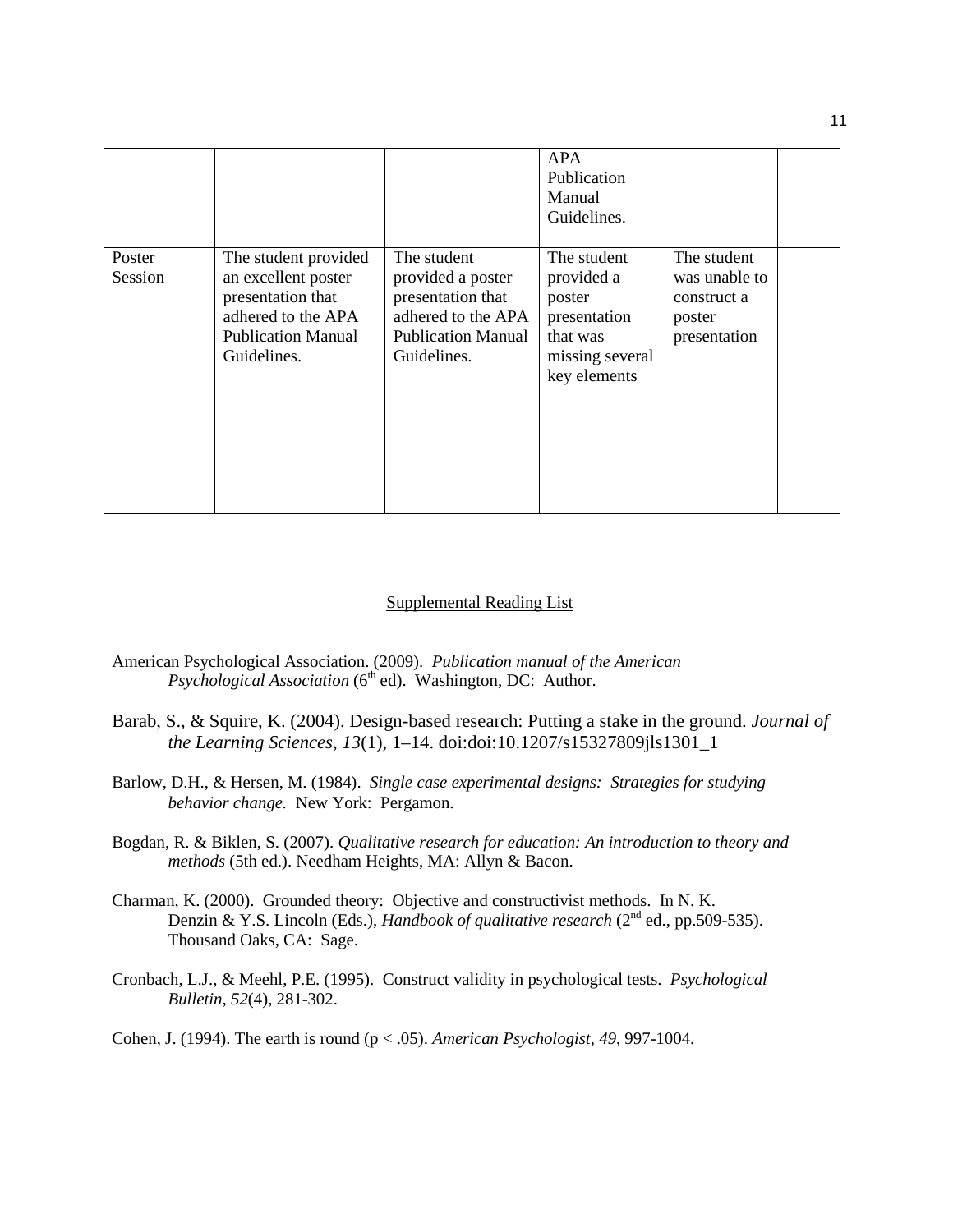|                   |                                                                                                                                    |                                                                                                                         | <b>APA</b><br>Publication<br>Manual<br>Guidelines.                                                 |                                                                       |  |
|-------------------|------------------------------------------------------------------------------------------------------------------------------------|-------------------------------------------------------------------------------------------------------------------------|----------------------------------------------------------------------------------------------------|-----------------------------------------------------------------------|--|
| Poster<br>Session | The student provided<br>an excellent poster<br>presentation that<br>adhered to the APA<br><b>Publication Manual</b><br>Guidelines. | The student<br>provided a poster<br>presentation that<br>adhered to the APA<br><b>Publication Manual</b><br>Guidelines. | The student<br>provided a<br>poster<br>presentation<br>that was<br>missing several<br>key elements | The student<br>was unable to<br>construct a<br>poster<br>presentation |  |

#### Supplemental Reading List

- American Psychological Association. (2009). *Publication manual of the American Psychological Association* (6<sup>th</sup> ed). Washington, DC: Author.
- Barab, S., & Squire, K. (2004). Design-based research: Putting a stake in the ground. *Journal of the Learning Sciences*, *13*(1), 1–14. doi:doi:10.1207/s15327809jls1301\_1
- Barlow, D.H., & Hersen, M. (1984). *Single case experimental designs: Strategies for studying behavior change.* New York: Pergamon.
- Bogdan, R. & Biklen, S. (2007). *Qualitative research for education: An introduction to theory and methods* (5th ed.). Needham Heights, MA: Allyn & Bacon.
- Charman, K. (2000). Grounded theory: Objective and constructivist methods. In N. K. Denzin & Y.S. Lincoln (Eds.), *Handbook of qualitative research* (2<sup>nd</sup> ed., pp.509-535). Thousand Oaks, CA: Sage.
- Cronbach, L.J., & Meehl, P.E. (1995). Construct validity in psychological tests. *Psychological Bulletin, 52*(4), 281-302.

Cohen, J. (1994). The earth is round (p < .05). *American Psychologist, 49*, 997-1004.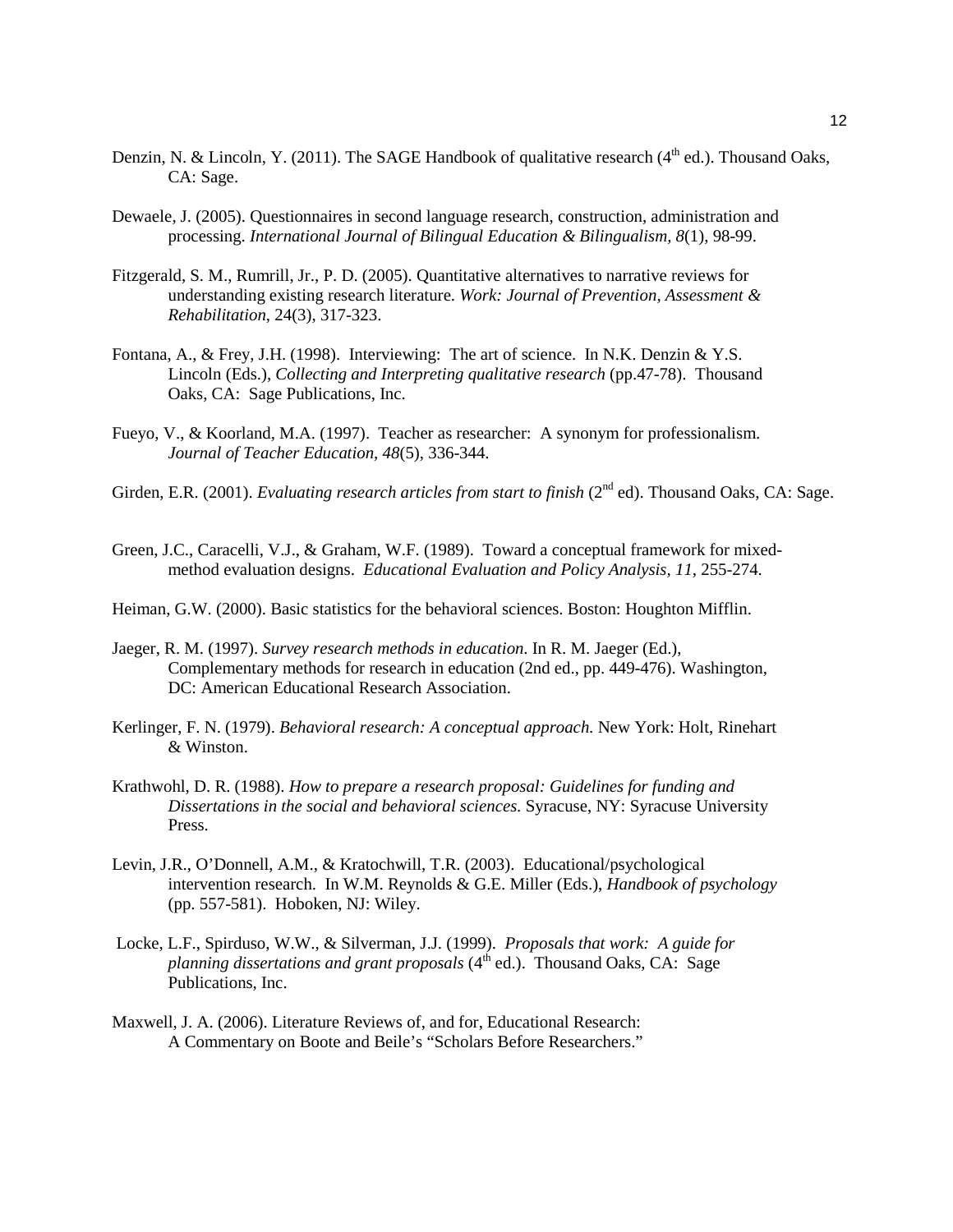- Denzin, N. & Lincoln, Y. (2011). The SAGE Handbook of qualitative research ( $4<sup>th</sup>$  ed.). Thousand Oaks, CA: Sage.
- Dewaele, J. (2005). Questionnaires in second language research, construction, administration and processing. *International Journal of Bilingual Education & Bilingualism, 8*(1), 98-99.
- Fitzgerald, S. M., Rumrill, Jr., P. D. (2005). Quantitative alternatives to narrative reviews for understanding existing research literature. *Work: Journal of Prevention, Assessment & Rehabilitation*, 24(3), 317-323.
- Fontana, A., & Frey, J.H. (1998). Interviewing: The art of science. In N.K. Denzin & Y.S. Lincoln (Eds.), *Collecting and Interpreting qualitative research* (pp.47-78). Thousand Oaks, CA: Sage Publications, Inc.
- Fueyo, V., & Koorland, M.A. (1997). Teacher as researcher: A synonym for professionalism. *Journal of Teacher Education, 48*(5), 336-344.
- Girden, E.R. (2001). *Evaluating research articles from start to finish* (2<sup>nd</sup> ed). Thousand Oaks, CA: Sage.
- Green, J.C., Caracelli, V.J., & Graham, W.F. (1989). Toward a conceptual framework for mixedmethod evaluation designs. *Educational Evaluation and Policy Analysis, 11*, 255-274.
- Heiman, G.W. (2000). Basic statistics for the behavioral sciences. Boston: Houghton Mifflin.
- Jaeger, R. M. (1997). *Survey research methods in education*. In R. M. Jaeger (Ed.), Complementary methods for research in education (2nd ed., pp. 449-476). Washington, DC: American Educational Research Association.
- Kerlinger, F. N. (1979). *Behavioral research: A conceptual approach.* New York: Holt, Rinehart & Winston.
- Krathwohl, D. R. (1988). *How to prepare a research proposal: Guidelines for funding and Dissertations in the social and behavioral sciences.* Syracuse, NY: Syracuse University Press.
- Levin, J.R., O'Donnell, A.M., & Kratochwill, T.R. (2003). Educational/psychological intervention research. In W.M. Reynolds & G.E. Miller (Eds.), *Handbook of psychology* (pp. 557-581). Hoboken, NJ: Wiley.
- Locke, L.F., Spirduso, W.W., & Silverman, J.J. (1999). *Proposals that work: A guide for planning dissertations and grant proposals* (4<sup>th</sup> ed.). Thousand Oaks, CA: Sage Publications, Inc.
- Maxwell, J. A. (2006). Literature Reviews of, and for, Educational Research: A Commentary on Boote and Beile's "Scholars Before Researchers."